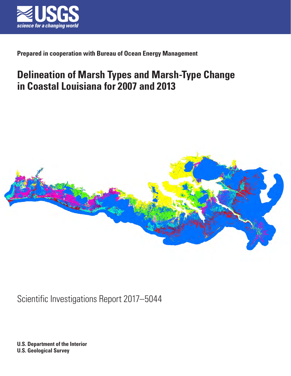

## **Prepared in cooperation with Bureau of Ocean Energy Management**

# **Delineation of Marsh Types and Marsh-Type Change in Coastal Louisiana for 2007 and 2013**



Scientific Investigations Report 2017–5044

**U.S. Department of the Interior U.S. Geological Survey**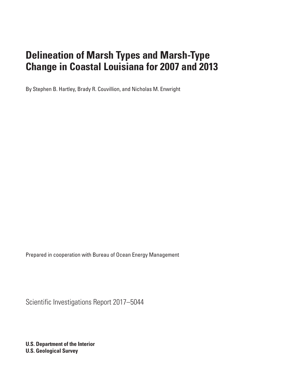By Stephen B. Hartley, Brady R. Couvillion, and Nicholas M. Enwright

Prepared in cooperation with Bureau of Ocean Energy Management

Scientific Investigations Report 2017–5044

**U.S. Department of the Interior U.S. Geological Survey**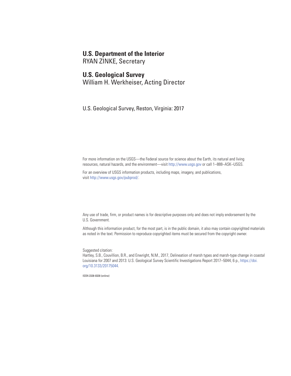### **U.S. Department of the Interior**

RYAN ZINKE, Secretary

### **U.S. Geological Survey**

William H. Werkheiser, Acting Director

U.S. Geological Survey, Reston, Virginia: 2017

For more information on the USGS—the Federal source for science about the Earth, its natural and living resources, natural hazards, and the environment—visit <http://www.usgs.gov>or call 1–888–ASK–USGS.

For an overview of USGS information products, including maps, imagery, and publications, visit<http://www.usgs.gov/pubprod>/.

Any use of trade, firm, or product names is for descriptive purposes only and does not imply endorsement by the U.S. Government.

Although this information product, for the most part, is in the public domain, it also may contain copyrighted materials as noted in the text. Permission to reproduce copyrighted items must be secured from the copyright owner.

Suggested citation:

Hartley, S.B., Couvillion, B.R., and Enwright, N.M., 2017, Delineation of marsh types and marsh-type change in coastal [Louisiana for 2007 and 2013: U.S. Geological Survey Scientific Investigations Report 2017–5044, 6 p., https://doi.](https://doi.org/10.3133/20175044) org/10.3133/20175044.

ISSN 2328-0328 (online)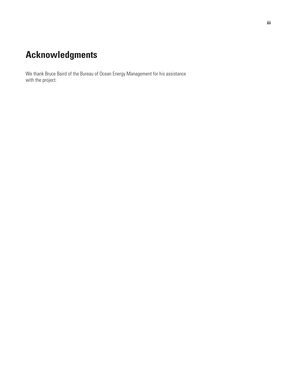# **Acknowledgments**

We thank Bruce Baird of the Bureau of Ocean Energy Management for his assistance with the project.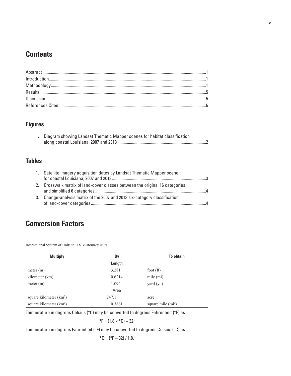## **Contents**

## **Figures**

| 1. Diagram showing Landsat Thematic Mapper scenes for habitat classification |
|------------------------------------------------------------------------------|
|                                                                              |

## **Tables**

|    | 1. Satellite imagery acquisition dates by Landsat Thematic Mapper scene   |            |
|----|---------------------------------------------------------------------------|------------|
|    | Crosswalk matrix of land-cover classes between the original 16 categories | $\sqrt{a}$ |
| 3. | Change-analysis matrix of the 2007 and 2013 six-category classification   |            |

# **Conversion Factors**

International System of Units to U.S. customary units

| <b>Multiply</b>           | By     | <b>To obtain</b>   |
|---------------------------|--------|--------------------|
|                           | Length |                    |
| meter (m)                 | 3.281  | foot $(ft)$        |
| kilometer (km)            | 0.6214 | mile (mi)          |
| meter (m)                 | 1.094  | yard (yd)          |
|                           | Area   |                    |
| square kilometer $(km^2)$ | 247.1  | acre               |
| square kilometer $(km^2)$ | 0.3861 | square mile $(m2)$ |

Temperature in degrees Celsius (°C) may be converted to degrees Fahrenheit (°F) as

$$
{}^{\circ}F = (1.8 \times {}^{\circ}C) + 32.
$$

Temperature in degrees Fahrenheit (°F) may be converted to degrees Celsius (°C) as

$$
^{\circ}
$$
C = ( $^{\circ}$ F – 32) / 1.8.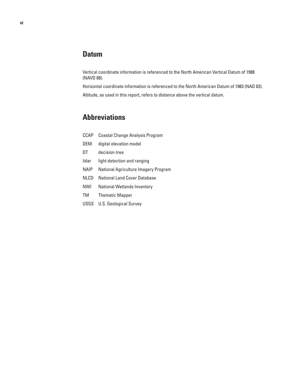## **Datum**

Vertical coordinate information is referenced to the North American Vertical Datum of 1988 (NAVD 88).

Horizontal coordinate information is referenced to the North American Datum of 1983 (NAD 83). Altitude, as used in this report, refers to distance above the vertical datum.

## **Abbreviations**

| CCAP        | Coastal Change Analysis Program      |
|-------------|--------------------------------------|
| DEM         | digital elevation model              |
| DT          | decision-tree                        |
| lidar       | light detection and ranging          |
| <b>NAIP</b> | National Agriculture Imagery Program |
| <b>NLCD</b> | National Land Cover Database         |
| <b>NWI</b>  | <b>National Wetlands Inventory</b>   |
| TM          | <b>Thematic Mapper</b>               |
| USGS        | <b>U.S. Geological Survey</b>        |
|             |                                      |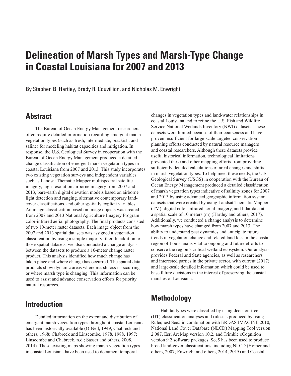<span id="page-8-0"></span>By Stephen B. Hartley, Brady R. Couvillion, and Nicholas M. Enwright

## **Abstract**

The Bureau of Ocean Energy Management researchers often require detailed information regarding emergent marsh vegetation types (such as fresh, intermediate, brackish, and saline) for modeling habitat capacities and mitigation. In response, the U.S. Geological Survey in cooperation with the Bureau of Ocean Energy Management produced a detailed change classification of emergent marsh vegetation types in coastal Louisiana from 2007 and 2013. This study incorporates two existing vegetation surveys and independent variables such as Landsat Thematic Mapper multispectral satellite imagery, high-resolution airborne imagery from 2007 and 2013, bare-earth digital elevation models based on airborne light detection and ranging, alternative contemporary landcover classifications, and other spatially explicit variables. An image classification based on image objects was created from 2007 and 2013 National Agriculture Imagery Program color-infrared aerial photography. The final products consisted of two 10-meter raster datasets. Each image object from the 2007 and 2013 spatial datasets was assigned a vegetation classification by using a simple majority filter. In addition to those spatial datasets, we also conducted a change analysis between the datasets to produce a 10-meter change raster product. This analysis identified how much change has taken place and where change has occurred. The spatial data products show dynamic areas where marsh loss is occurring or where marsh type is changing. This information can be used to assist and advance conservation efforts for priority natural resources.

## **Introduction**

Detailed information on the extent and distribution of emergent marsh vegetation types throughout coastal Louisiana has been historically available (O'Neil, 1949; Chabreck and others, 1968; Chabreck and Linscombe, 1978, 1988, 1997; Linscombe and Chabreck, n.d.; Sasser and others, 2008, 2014). These existing maps showing marsh vegetation types in coastal Louisiana have been used to document temporal

changes in vegetation types and land-water relationships in coastal Louisiana and to refine the U.S. Fish and Wildlife Service National Wetlands Inventory (NWI) datasets. These datasets were limited because of their coarseness and have proven insufficient for large-scale targeted conservation planning efforts conducted by natural resource managers and coastal researchers. Although these datasets provide useful historical information, technological limitations prevented these and other mapping efforts from providing sufficiently detailed calculations of areal changes and shifts in marsh vegetation types. To help meet these needs, the U.S. Geological Survey (USGS) in cooperation with the Bureau of Ocean Energy Management produced a detailed classification of marsh vegetation types indicative of salinity zones for 2007 and 2013 by using advanced geographic information system datasets that were created by using Landsat Thematic Mapper (TM), digital color-infrared aerial imagery, and lidar data at a spatial scale of 10 meters (m) (Hartley and others, 2017). Additionally, we conducted a change analysis to determine how marsh types have changed from 2007 and 2013. The ability to understand past dynamics and anticipate future trends in vegetation change and related land loss in the coastal region of Louisiana is vital to ongoing and future efforts to conserve the region's critical wetland ecosystem. Our analysis provides Federal and State agencies, as well as researchers and interested parties in the private sector, with current (2017) and large-scale detailed information which could be used to base future decisions in the interest of preserving the coastal marshes of Louisiana.

## **Methodology**

Habitat types were classified by using decision-tree (DT) classification analyses and rulesets produced by using Rulequest See5 in combination with ERDAS IMAGINE 2010, National Land Cover Database (NLCD) Mapping Tool version 2.087, Esri ArcMap version 10.2, and Trimble eCognition version 9.2 software packages. See5 has been used to produce broad land-cover classifications, including NLCD (Homer and others, 2007; Enwright and others, 2014, 2015) and Coastal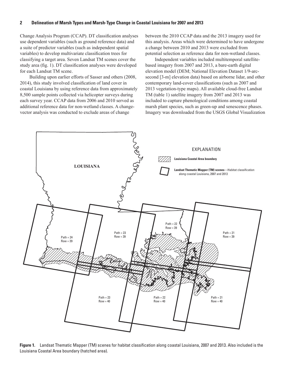<span id="page-9-0"></span>Change Analysis Program (CCAP). DT classification analyses use dependent variables (such as ground reference data) and a suite of predictor variables (such as independent spatial variables) to develop multivariate classification trees for classifying a target area. Seven Landsat TM scenes cover the study area (fig. 1). DT classification analyses were developed for each Landsat TM scene.

Building upon earlier efforts of Sasser and others (2008, 2014), this study involved classification of land cover in coastal Louisiana by using reference data from approximately 8,500 sample points collected via helicopter surveys during each survey year. CCAP data from 2006 and 2010 served as additional reference data for non-wetland classes. A changevector analysis was conducted to exclude areas of change

between the 2010 CCAP data and the 2013 imagery used for this analysis. Areas which were determined to have undergone a change between 2010 and 2013 were excluded from potential selection as reference data for non-wetland classes.

Independent variables included multitemporal satellitebased imagery from 2007 and 2013, a bare-earth digital elevation model (DEM; National Elevation Dataset 1/9-arcsecond [3-m] elevation data) based on airborne lidar, and other contemporary land-cover classifications (such as 2007 and 2013 vegetation-type maps). All available cloud-free Landsat TM (table 1) satellite imagery from 2007 and 2013 was included to capture phenological conditions among coastal marsh plant species, such as green-up and senescence phases. Imagery was downloaded from the USGS Global Visualization



**Figure 1.** Landsat Thematic Mapper (TM) scenes for habitat classification along coastal Louisiana, 2007 and 2013. Also included is the Louisiana Coastal Area boundary (hatched area).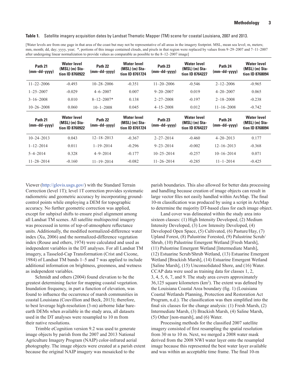#### <span id="page-10-0"></span>**Table 1.** Satellite imagery acquisition dates by Landsat Thematic Mapper (TM) scene for coastal Louisiana, 2007 and 2013.

[Water levels are from one gage in that area of the coast but may not be representative of all areas in the imagery footprint. MSL, mean sea level; m, meters; mm, month; dd, day; yyyy, year; \*, portions of this image contained clouds, and pixels in that region were replaced by values from 9-29-2007 and 7-11-2007 after undergoing linear normalization to provide values as comparable as possible to the 8–12–2007 image]

| Path 21<br>$(mm-dd - yyyy)$ | <b>Water level</b><br>$(MSL)$ (m) Sta-<br>tion ID 8760922 | Path 22<br>$(mm-dd-yyyy)$ | <b>Water level</b><br>$(MSL)$ (m) Sta-<br>tion ID 8761724 | Path <sub>23</sub><br>$(mm-dd - yyyy)$ | <b>Water level</b><br>$(MSL)$ (m) Sta-<br>tion ID 8764227 | Path 24<br>$(mm-dd - yyyy)$ | <b>Water level</b><br>$(MSL)$ (m) Sta-<br>tion ID 8768094 |
|-----------------------------|-----------------------------------------------------------|---------------------------|-----------------------------------------------------------|----------------------------------------|-----------------------------------------------------------|-----------------------------|-----------------------------------------------------------|
| $11 - 22 - 2006$            | $-0.493$                                                  | $10 - 28 - 2006$          | $-0.351$                                                  | $11 - 20 - 2006$                       | $-0.546$                                                  | $2 - 12 - 2006$             | $-0.965$                                                  |
| $1 - 25 - 2007$             | $-0.029$                                                  | $4 - 6 - 2007$            | 0.007                                                     | $9 - 20 - 2007$                        | 0.019                                                     | $4 - 20 - 2007$             | 0.065                                                     |
| $3 - 16 - 2008$             | 0.010                                                     | $8 - 12 - 2007*$          | 0.138                                                     | $2 - 27 - 2008$                        | $-0.197$                                                  | $2 - 18 - 2008$             | $-0.238$                                                  |
| $10 - 26 - 2008$            | 0.060                                                     | $10 - 1 - 2008$           | 0.045                                                     | $4 - 15 - 2008$                        | 0.012                                                     | $11 - 16 - 2008$            | $-0.742$                                                  |
|                             |                                                           |                           |                                                           |                                        |                                                           |                             |                                                           |
| Path 21<br>$(mm-dd-yyy)$    | <b>Water level</b><br>$(MSL)$ (m) Sta-<br>tion ID 8760922 | Path 22<br>$(mm-dd-yyyy)$ | <b>Water level</b><br>$(MSL)$ (m) Sta-<br>tion ID 8761724 | Path <sub>23</sub><br>$(mm-dd - yyyy)$ | <b>Water level</b><br>$(MSL)$ (m) Sta-<br>tion ID 8764227 | Path 24<br>$(mm-dd - yyyy)$ | <b>Water level</b><br>$(MSL)$ (m) Sta-<br>tion ID 8768094 |
| $10 - 24 - 2013$            | 0.043                                                     | $12 - 18 - 2013$          | $-0.367$                                                  | $2 - 27 - 2014$                        | $-0.460$                                                  | $4 - 20 - 2013$             | 0.177                                                     |
| $1 - 12 - 2014$             | 0.011                                                     | $1 - 19 - 2014$           | $-0.296$                                                  | $9 - 23 - 2014$                        | $-0.002$                                                  | $12 - 16 - 2013$            | $-0.368$                                                  |
| $5 - 4 - 2014$              | 0.328                                                     | $4 - 9 - 2014$            | $-0.177$                                                  | $10 - 25 - 2014$                       | $-0.257$                                                  | $10 - 16 - 2014$            | 0.071                                                     |

Viewer ([http://glovis.usgs.gov/\)](http://glovis.usgs.gov/) with the Standard Terrain Correction (level 1T); level 1T correction provides systematic radiometric and geometric accuracy by incorporating groundcontrol points while employing a DEM for topographic accuracy. No further geometric correction was applied, except for subpixel shifts to ensure pixel alignment among all Landsat TM scenes. All satellite multispectral imagery was processed in terms of top-of-atmosphere reflectance units. Additionally, the modified normalized-difference water index (Xu, 2006) and the normalized-difference vegetation index (Rouse and others, 1974) were calculated and used as independent variables in the DT analyses. For all Landsat TM imagery, a Tasseled-Cap Transformation (Crist and Cicone, 1984) of Landsat TM bands 1–5 and 7 was applied to include additional information on brightness, greenness, and wetness as independent variables.

Schmidt and others (2004) found elevation to be the greatest determining factor for mapping coastal vegetation. Inundation frequency, in part a function of elevation, was found to influence the occurrence of marsh communities in coastal Louisiana (Couvillion and Beck, 2013); therefore, to best leverage high-resolution (3-m) airborne lidar bareearth DEMs when available in the study area, all datasets used in the DT analyses were resampled to 10 m from their native resolutions.

Trimble eCognition version 9.2 was used to generate image objects by parish from the 2007 and 2013 National Agriculture Imagery Program (NAIP) color-infrared aerial photography. The image objects were created at a parish extent because the original NAIP imagery was mosaicked to the

parish boundaries. This also allowed for better data processing and handling because creation of image objects can result in large vector files not easily handled within ArcMap. The final 10-m classification was produced by using a script in ArcMap to determine the majority DT-based class for each image object.

Land cover was delineated within the study area into sixteen classes: (1) High Intensity Developed, (2) Medium Intensity Developed, (3) Low Intensity Developed, (4) Developed Open Space, (5) Cultivated, (6) Pasture/Hay, (7) Upland Forest, (8) Palustrine Forested, (9) Palustrine Scrub/ Shrub, (10) Palustrine Emergent Wetland [Fresh Marsh], (11) Palustrine Emergent Wetland [Intermediate Marsh], (12) Estuarine Scrub/Shrub Wetland, (13) Estuarine Emergent Wetland [Brackish Marsh], (14) Estuarine Emergent Wetland [Saline Marsh], (15) Unconsolidated Shore, and (16) Water. CCAP data were used as training data for classes 1, 2, 3, 4, 5, 6, 7, and 9. The study area covers approximately  $36,125$  square kilometers (km<sup>2</sup>). The extent was defined by the Louisiana Coastal Area boundary (fig. 1) (Louisiana Coastal Wetlands Planning, Protection and Restoration Act Program, n.d.). The classification was then simplified into the final six classes for the change analysis: (1) Fresh Marsh, (2) Intermediate Marsh, (3) Brackish Marsh, (4) Saline Marsh, (5) Other [non-marsh], and (6) Water.

Processing methods for the classified 2007 satellite imagery consisted of first resampling the spatial resolution from 30 m to 10 m. Next, we merged a 2008 water mask derived from the 2008 NWI water layer onto the resampled image because this represented the best water layer available and was within an acceptable time frame. The final 10-m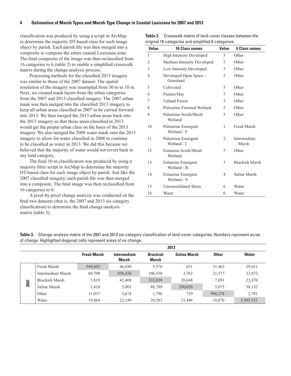<span id="page-11-0"></span>classification was produced by using a script in ArcMap to determine the majority DT-based class for each image object by parish. Each parish file was then merged into a composite to compose the entire coastal Louisiana zone. The final composite of the image was then reclassified from 16 categories to 6 (table 2) to enable a simplified crosswalk matrix during the change-analysis process.

Processing methods for the classified 2013 imagery was similar to those of the 2007 dataset. The spatial resolution of the imagery was resampled from 30 m to 10 m. Next, we created mask layers from the urban categories from the 2007 and 2013 classified imagery. The 2007 urban mask was then merged into the classified 2013 imagery to keep all urban areas classified in 2007 to be carried forward into 2013. We then merged the 2013 urban areas back into the 2013 imagery so that those areas classified in 2013 would get the proper urban class on the basis of the 2013 imagery. We also merged the 2008 water mask onto the 2013 imagery to allow for water classified in 2008 to continue to be classified as water in 2013. We did this because we believed that the majority of water would not revert back to any land category.

The final 10-m classification was produced by using a majority filter script in ArcMap to determine the majority DT-based class for each image object by parish. Just like the 2007 classified imagery, each parish file was then merged into a composite. The final image was then reclassified from 16 categories to 6.

A pixel-by-pixel change analysis was conducted on the final two datasets (that is, the 2007 and 2013 six-category classification) to determine the final change-analysis matrix (table 3).

| <b>Value</b> | <b>16 Class names</b>                    | <b>Value</b> | <b>6 Class names</b>  |
|--------------|------------------------------------------|--------------|-----------------------|
| 1            | <b>High Intensity Developed</b>          | 5            | Other                 |
| 2            | Medium Intensity Developed               | 5            | Other                 |
| 3            | Low Intensity Developed                  | 5            | Other                 |
| 4            | Developed Open Space -<br>Grassland      | 5            | Other                 |
| 5            | Cultivated                               | 5            | Other                 |
| 6            | Pasture/Hay                              | 5            | Other                 |
| 7            | <b>Upland Forest</b>                     | 5            | Other                 |
| 8            | Palustrine Forested Wetland              | 5            | Other                 |
| 9            | Palustrine Scrub/Shrub<br>Wetland        | 5            | Other                 |
| 10           | Palustrine Emergent<br>Wetland - F       | 1            | Fresh Marsh           |
| 11           | Palustrine Emergent<br>Wetland - I       | 2            | Intermediate<br>Marsh |
| 12           | Estuarine Scrub/Shrub<br>Wetland         | 5            | Other                 |
| 13           | <b>Estuarine Emergent</b><br>Wetland - B | 3            | <b>Brackish Marsh</b> |
| 14           | <b>Estuarine Emergent</b><br>Wetland - S | 4            | Saline Marsh          |
| 15           | <b>Unconsolidated Shore</b>              | 6            | Water                 |
| 16           | Water                                    | 6            | Water                 |

| <b>Table 2.</b> Crosswalk matrix of land-cover classes between the |
|--------------------------------------------------------------------|
| original 16 categories and simplified 6 categories.                |

| Table 3. Change-analysis matrix of the 2007 and 2013 six-category classification of land-cover categories. Numbers represent acres |  |
|------------------------------------------------------------------------------------------------------------------------------------|--|
| of change. Highlighted diagonal cells represent areas of no change.                                                                |  |

|      |                    | 2013               |                       |                                 |                     |              |              |
|------|--------------------|--------------------|-----------------------|---------------------------------|---------------------|--------------|--------------|
|      |                    | <b>Fresh Marsh</b> | Intermediate<br>Marsh | <b>Brackish</b><br><b>Marsh</b> | <b>Saline Marsh</b> | <b>Other</b> | <b>Water</b> |
|      | Fresh Marsh        | 549,603            | 46,030                | 5,376                           | 651                 | 51,463       | 29,411       |
|      | Intermediate Marsh | 69,700             | 458,436               | 106,538                         | 3,763               | 21,377       | 32,072       |
|      | Brackish Marsh     | 5,819              | 42,408                | 332,039                         | 20,648              | 7,891        | 22,870       |
| 2007 | Saline Marsh       | 1,410              | 5,001                 | 88,789                          | 290,020             | 5.075        | 38,135       |
|      | Other              | 11,037             | 3,674                 | 1,796                           | 729                 | 996,378      | 2,781        |
|      | Water              | 19,864             | 22,149                | 20,583                          | 15.446              | 10,876       | 5,585,351    |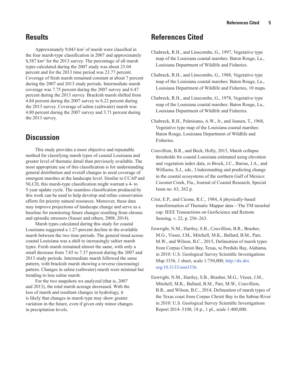### <span id="page-12-0"></span>**Results**

Approximately 9,043 km2 of marsh were classified in the four marsh-type classification in 2007 and approximately 8,587 km2 for the 2013 survey. The percentage of all marsh types calculated during the 2007 study was about 25.04 percent and for the 2013 time period was 23.77 percent. Coverage of fresh marsh remained constant at about 7 percent during the 2007 and 2013 study periods. Intermediate marsh coverage was 7.75 percent during the 2007 survey and 6.47 percent during the 2013 survey. Brackish marsh shifted from 4.84 percent during the 2007 survey to 6.22 percent during the 2013 survey. Coverage of saline (saltwater) marsh was 4.80 percent during the 2007 survey and 3.71 percent during the 2013 survey.

## **Discussion**

This study provides a more objective and repeatable method for classifying marsh types of coastal Louisiana and greater level of thematic detail than previously available. The most appropriate use of this classification is for understanding general distribution and overall changes in areal coverage of emergent marshes at the landscape level. Similar to CCAP and NLCD, this marsh-type classification might warrant a 4- to 5-year update cycle. The seamless classification produced by this work can be used to help develop and refine conservation efforts for priority natural resources. Moreover, these data may improve projections of landscape change and serve as a baseline for monitoring future changes resulting from chronic and episodic stressors (Sasser and others, 2008, 2014).

Marsh types calculated during this study for coastal Louisiana suggested a 1.27-percent decline in the available marsh between the two time periods. The general trend across coastal Louisiana was a shift to increasingly saltier marsh types. Fresh marsh remained almost the same, with only a small decrease from 7.65 to 7.37 percent during the 2007 and 2013 study periods. Intermediate marsh followed the same pattern, with brackish marsh showing a reverse (increasing) pattern. Changes in saline (saltwater) marsh were minimal but trending to less saline marsh.

For the two snapshots we analyzed (that is, 2007 and 2013), the total marsh acreage decreased. With the loss of marsh and resultant changes in hydrology, it is likely that changes in marsh type may show greater variation in the future, even if given only minor changes in precipitation levels.

## **References Cited**

- Chabreck, R.H., and Linscombe, G., 1997, Vegetative type map of the Louisiana coastal marshes: Baton Rouge, La., Louisiana Department of Wildlife and Fisheries.
- Chabreck, R.H., and Linscombe, G., 1988, Vegetative type map of the Louisiana coastal marshes: Baton Rouge, La., Louisiana Department of Wildlife and Fisheries, 10 maps.
- Chabreck, R.H., and Linscombe, G., 1978, Vegetative type map of the Louisiana coastal marshes: Baton Rouge, La., Louisiana Department of Wildlife and Fisheries.
- Chabreck, R.H., Palmisano, A.W., Jr., and Joanen, T., 1968, Vegetative type map of the Louisiana coastal marshes: Baton Rouge, Louisiana Department of Wildlife and Fisheries.
- Couvillion, B.R., and Beck, Holly, 2013, Marsh collapse thresholds for coastal Louisiana estimated using elevation and vegetation index data, *in* Brock, J.C., Barras, J.A., and Williams, S.J., eds., Understanding and predicting change in the coastal ecosystems of the northern Gulf of Mexico: Coconut Creek, Fla., Journal of Coastal Research, Special Issue no. 63, 262 p.
- Crist, E.P., and Cicone, R.C., 1984, A physically-based transformation of Thematic Mapper data—The TM tasseled cap: IEEE Transactions on GeoScience and Remote Sensing, v. 22, p. 256–263.
- Enwright, N.M., Hartley, S.B., Couvillion, B.R., Brasher, M.G., Visser, J.M., Mitchell, M.K., Ballard, B.M., Parr, M.W., and Wilson, B.C., 2015, Delineation of marsh types from Corpus Christi Bay, Texas, to Perdido Bay, Alabama, in 2010: U.S. Geological Survey Scientific Investigations Map 3336, 1 sheet, scale 1:750,000, [http://dx.doi.](http://dx.doi.org/10.3133/sim3336) [org/10.3133/sim3336.](http://dx.doi.org/10.3133/sim3336)
- Enwright, N.M., Hartley, S.B., Brasher, M.G., Visser, J.M., Mitchell, M.K., Ballard, B.M., Parr, M.W., Couvillion, B.R., and Wilson, B.C., 2014, Delineation of marsh types of the Texas coast from Corpus Christi Bay to the Sabine River in 2010: U.S. Geological Survey Scientific Investigations Report 2014–5100, 18 p., 1 pl., scale 1:400,000.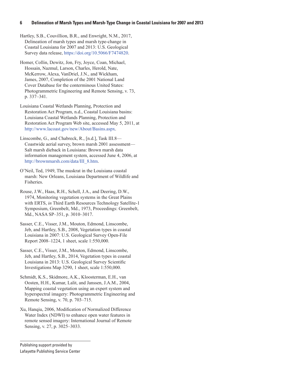Hartley, S.B., Couvillion, B.R., and Enwright, N.M., 2017, Delineation of marsh types and marsh type-change in Coastal Louisiana for 2007 and 2013: U.S. Geological Survey data release, <https://doi.org/10.5066/F7474820>.

Homer, Collin, Dewitz, Jon, Fry, Joyce, Coan, Michael, Hossain, Nazmul, Larson, Charles, Herold, Nate, McKerrow, Alexa, VanDriel, J.N., and Wickham, James, 2007, Completion of the 2001 National Land Cover Database for the conterminous United States: Photogrammetric Engineering and Remote Sensing, v. 73, p. 337–341.

Louisiana Coastal Wetlands Planning, Protection and Restoration Act Program, n.d., Coastal Louisiana basins: Louisiana Coastal Wetlands Planning, Protection and Restoration Act Program Web site, accessed May 5, 2011, at <http://www.lacoast.gov/new/About/Basins.aspx>.

Linscombe, G., and Chabreck, R., [n.d.], Task III.8— Coastwide aerial survey, brown marsh 2001 assessment— Salt marsh dieback in Louisiana: Brown marsh data information management system, accessed June 4, 2006, at [http://brownmarsh.com/data/III\\_8.htm.](http://brownmarsh.com/data/III_8.htm)

O'Neil, Ted, 1949, The muskrat in the Louisiana coastal marsh: New Orleans, Louisiana Department of Wildlife and Fisheries.

Rouse, J.W., Haas, R.H., Schell, J.A., and Deering, D.W., 1974, Monitoring vegetation systems in the Great Plains with ERTS, *in* Third Earth Resources Technology Satellite-1 Symposium, Greenbelt, Md., 1973, Proceedings: Greenbelt, Md., NASA SP–351, p. 3010–3017.

Sasser, C.E., Visser, J.M., Mouton, Edmond, Linscombe, Jeb, and Hartley, S.B., 2008, Vegetation types in coastal Louisiana in 2007: U.S. Geological Survey Open-File Report 2008–1224, 1 sheet, scale 1:550,000.

Sasser, C.E., Visser, J.M., Mouton, Edmond, Linscombe, Jeb, and Hartley, S.B., 2014, Vegetation types in coastal Louisiana in 2013: U.S. Geological Survey Scientific Investigations Map 3290, 1 sheet, scale 1:550,000.

Schmidt, K.S., Skidmore, A.K., Kloosterman, E.H., van Oosten, H.H., Kumar, Lalit, and Janssen, J.A.M., 2004, Mapping coastal vegetation using an expert system and hyperspectral imagery: Photogrammetric Engineering and Remote Sensing, v. 70, p. 703–715.

Xu, Hanqiu, 2006, Modification of Normalized Difference Water Index (NDWI) to enhance open water features in remote sensed imagery: International Journal of Remote Sensing, v. 27, p. 3025–3033.

Publishing support provided by Lafayette Publishing Service Center